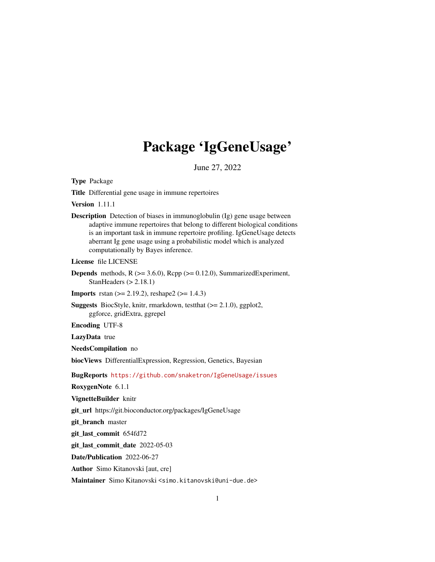## Package 'IgGeneUsage'

June 27, 2022

Type Package

Title Differential gene usage in immune repertoires

Version 1.11.1

Description Detection of biases in immunoglobulin (Ig) gene usage between adaptive immune repertoires that belong to different biological conditions is an important task in immune repertoire profiling. IgGeneUsage detects aberrant Ig gene usage using a probabilistic model which is analyzed computationally by Bayes inference.

License file LICENSE

- **Depends** methods,  $R$  ( $>= 3.6.0$ ),  $Rep$  ( $>= 0.12.0$ ), SummarizedExperiment, StanHeaders  $(> 2.18.1)$
- **Imports** rstan  $(>= 2.19.2)$ , reshape2  $(>= 1.4.3)$
- Suggests BiocStyle, knitr, rmarkdown, testthat (>= 2.1.0), ggplot2, ggforce, gridExtra, ggrepel

Encoding UTF-8

LazyData true

NeedsCompilation no

biocViews DifferentialExpression, Regression, Genetics, Bayesian

BugReports <https://github.com/snaketron/IgGeneUsage/issues>

RoxygenNote 6.1.1

VignetteBuilder knitr

git\_url https://git.bioconductor.org/packages/IgGeneUsage

git\_branch master

git\_last\_commit 654fd72

git\_last\_commit\_date 2022-05-03

Date/Publication 2022-06-27

Author Simo Kitanovski [aut, cre]

Maintainer Simo Kitanovski <simo.kitanovski@uni-due.de>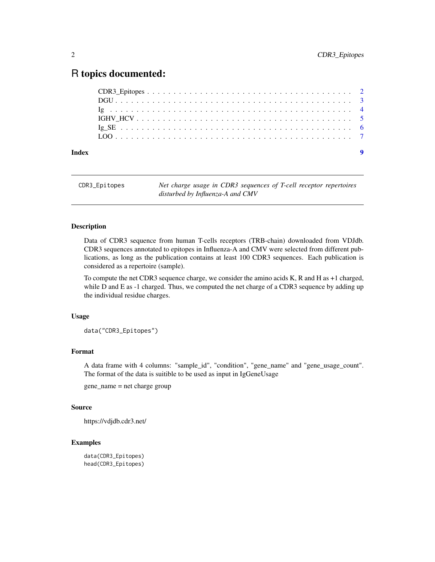### <span id="page-1-0"></span>R topics documented:

| Index |  |
|-------|--|
|       |  |
|       |  |
|       |  |
|       |  |
|       |  |
|       |  |

CDR3\_Epitopes *Net charge usage in CDR3 sequences of T-cell receptor repertoires disturbed by Influenza-A and CMV*

#### Description

Data of CDR3 sequence from human T-cells receptors (TRB-chain) downloaded from VDJdb. CDR3 sequences annotated to epitopes in Influenza-A and CMV were selected from different publications, as long as the publication contains at least 100 CDR3 sequences. Each publication is considered as a repertoire (sample).

To compute the net CDR3 sequence charge, we consider the amino acids K, R and H as +1 charged, while D and E as -1 charged. Thus, we computed the net charge of a CDR3 sequence by adding up the individual residue charges.

#### Usage

data("CDR3\_Epitopes")

#### Format

A data frame with 4 columns: "sample\_id", "condition", "gene\_name" and "gene\_usage\_count". The format of the data is suitible to be used as input in IgGeneUsage

gene\_name = net charge group

#### Source

https://vdjdb.cdr3.net/

#### Examples

```
data(CDR3_Epitopes)
head(CDR3_Epitopes)
```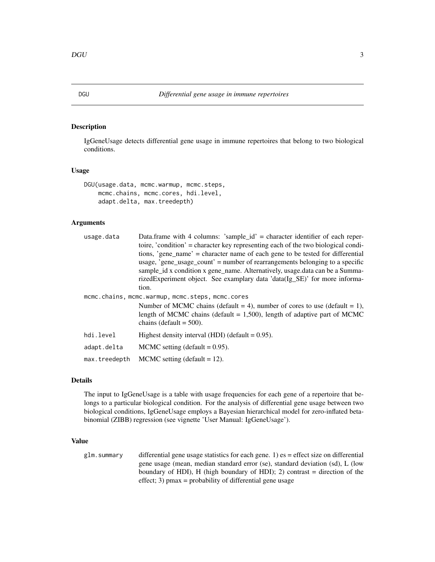#### Description

IgGeneUsage detects differential gene usage in immune repertoires that belong to two biological conditions.

#### Usage

```
DGU(usage.data, mcmc.warmup, mcmc.steps,
   mcmc.chains, mcmc.cores, hdi.level,
   adapt.delta, max.treedepth)
```
#### Arguments

| usage.data                                       | Data.frame with 4 columns: 'sample_id' = character identifier of each reper-<br>toire, 'condition' = character key representing each of the two biological condi-<br>tions, 'gene_name' = character name of each gene to be tested for differential<br>usage, 'gene usage count' = number of rearrangements belonging to a specific<br>sample id x condition x gene name. Alternatively, usage data can be a Summa-<br>rizedExperiment object. See examplary data 'data(Ig_SE)' for more informa- |  |  |
|--------------------------------------------------|---------------------------------------------------------------------------------------------------------------------------------------------------------------------------------------------------------------------------------------------------------------------------------------------------------------------------------------------------------------------------------------------------------------------------------------------------------------------------------------------------|--|--|
|                                                  | tion.                                                                                                                                                                                                                                                                                                                                                                                                                                                                                             |  |  |
| mcmc.chains, mcmc.warmup, mcmc.steps, mcmc.cores |                                                                                                                                                                                                                                                                                                                                                                                                                                                                                                   |  |  |
|                                                  | Number of MCMC chains (default = 4), number of cores to use (default = 1),<br>length of MCMC chains (default $= 1,500$ ), length of adaptive part of MCMC<br>chains (default $= 500$ ).                                                                                                                                                                                                                                                                                                           |  |  |
| hdi.level                                        | Highest density interval (HDI) (default $= 0.95$ ).                                                                                                                                                                                                                                                                                                                                                                                                                                               |  |  |
| adapt.delta                                      | MCMC setting (default $= 0.95$ ).                                                                                                                                                                                                                                                                                                                                                                                                                                                                 |  |  |
| max.treedepth                                    | MCMC setting (default $= 12$ ).                                                                                                                                                                                                                                                                                                                                                                                                                                                                   |  |  |

#### Details

The input to IgGeneUsage is a table with usage frequencies for each gene of a repertoire that belongs to a particular biological condition. For the analysis of differential gene usage between two biological conditions, IgGeneUsage employs a Bayesian hierarchical model for zero-inflated betabinomial (ZIBB) regression (see vignette 'User Manual: IgGeneUsage').

#### Value

glm. summary differential gene usage statistics for each gene. 1)  $es =$  effect size on differential gene usage (mean, median standard error (se), standard deviation (sd), L (low boundary of HDI), H (high boundary of HDI); 2) contrast = direction of the effect; 3) pmax = probability of differential gene usage

<span id="page-2-0"></span>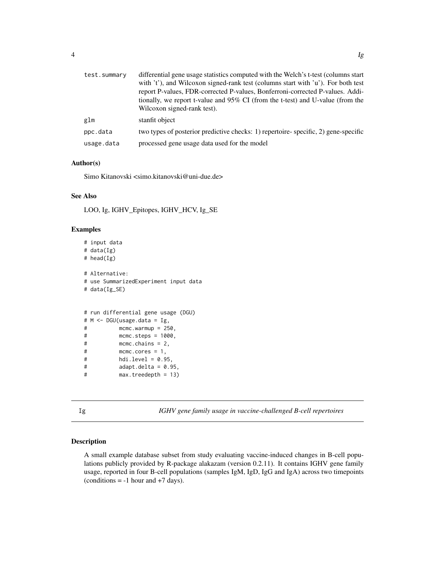<span id="page-3-0"></span>

| test.summary | differential gene usage statistics computed with the Welch's t-test (columns start<br>with 't'), and Wilcoxon signed-rank test (columns start with 'u'). For both test<br>report P-values, FDR-corrected P-values, Bonferroni-corrected P-values. Addi-<br>tionally, we report t-value and 95% CI (from the t-test) and U-value (from the<br>Wilcoxon signed-rank test). |
|--------------|--------------------------------------------------------------------------------------------------------------------------------------------------------------------------------------------------------------------------------------------------------------------------------------------------------------------------------------------------------------------------|
| glm          | stanfit object                                                                                                                                                                                                                                                                                                                                                           |
| ppc.data     | two types of posterior predictive checks: 1) repertoire-specific, 2) gene-specific                                                                                                                                                                                                                                                                                       |
| usage.data   | processed gene usage data used for the model                                                                                                                                                                                                                                                                                                                             |
|              |                                                                                                                                                                                                                                                                                                                                                                          |

#### Author(s)

Simo Kitanovski <simo.kitanovski@uni-due.de>

#### See Also

LOO, Ig, IGHV\_Epitopes, IGHV\_HCV, Ig\_SE

#### Examples

```
# input data
# data(Ig)
# head(Ig)
# Alternative:
# use SummarizedExperiment input data
# data(Ig_SE)
# run differential gene usage (DGU)
# M <- DGU(usage.data = Ig,
# mcmc.warmup = 250,
# mcmc.steps = 1000,
# mcmc.chains = 2,
# mcmc.cores = 1,
# hdi.level = 0.95,
# adapt.delta = 0.95,
# max.treedepth = 13)
```
Ig *IGHV gene family usage in vaccine-challenged B-cell repertoires*

#### Description

A small example database subset from study evaluating vaccine-induced changes in B-cell populations publicly provided by R-package alakazam (version 0.2.11). It contains IGHV gene family usage, reported in four B-cell populations (samples IgM, IgD, IgG and IgA) across two timepoints (conditions  $= -1$  hour and  $+7$  days).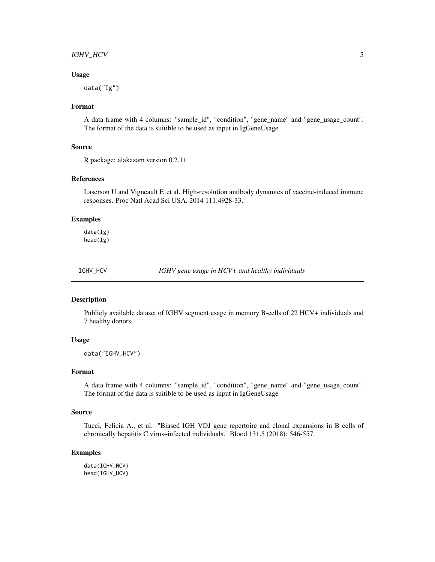#### <span id="page-4-0"></span>IGHV\_HCV 5

#### Usage

data("Ig")

#### Format

A data frame with 4 columns: "sample\_id", "condition", "gene\_name" and "gene\_usage\_count". The format of the data is suitible to be used as input in IgGeneUsage

#### Source

R package: alakazam version 0.2.11

#### References

Laserson U and Vigneault F, et al. High-resolution antibody dynamics of vaccine-induced immune responses. Proc Natl Acad Sci USA. 2014 111:4928-33.

#### Examples

data(Ig) head(Ig)

IGHV\_HCV *IGHV gene usage in HCV+ and healthy individuals*

#### **Description**

Publicly available dataset of IGHV segment usage in memory B-cells of 22 HCV+ individuals and 7 healthy donors.

#### Usage

data("IGHV\_HCV")

#### Format

A data frame with 4 columns: "sample\_id", "condition", "gene\_name" and "gene\_usage\_count". The format of the data is suitible to be used as input in IgGeneUsage

#### Source

Tucci, Felicia A., et al. "Biased IGH VDJ gene repertoire and clonal expansions in B cells of chronically hepatitis C virus–infected individuals." Blood 131.5 (2018): 546-557.

#### Examples

data(IGHV\_HCV) head(IGHV\_HCV)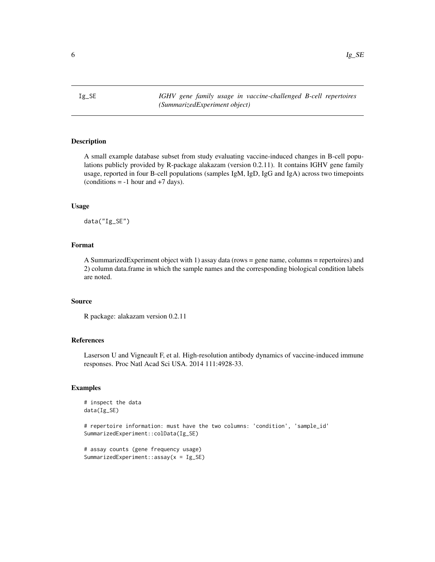<span id="page-5-0"></span>Ig\_SE *IGHV gene family usage in vaccine-challenged B-cell repertoires (SummarizedExperiment object)*

#### Description

A small example database subset from study evaluating vaccine-induced changes in B-cell populations publicly provided by R-package alakazam (version 0.2.11). It contains IGHV gene family usage, reported in four B-cell populations (samples IgM, IgD, IgG and IgA) across two timepoints  $(conditions = -1 hour and +7 days).$ 

#### Usage

data("Ig\_SE")

#### Format

A SummarizedExperiment object with 1) assay data (rows = gene name, columns = repertoires) and 2) column data.frame in which the sample names and the corresponding biological condition labels are noted.

#### Source

R package: alakazam version 0.2.11

#### References

Laserson U and Vigneault F, et al. High-resolution antibody dynamics of vaccine-induced immune responses. Proc Natl Acad Sci USA. 2014 111:4928-33.

#### Examples

```
# inspect the data
data(Ig_SE)
# repertoire information: must have the two columns: 'condition', 'sample_id'
SummarizedExperiment::colData(Ig_SE)
```

```
# assay counts (gene frequency usage)
SummarizedExperiment::assay(x = Ig_SE)
```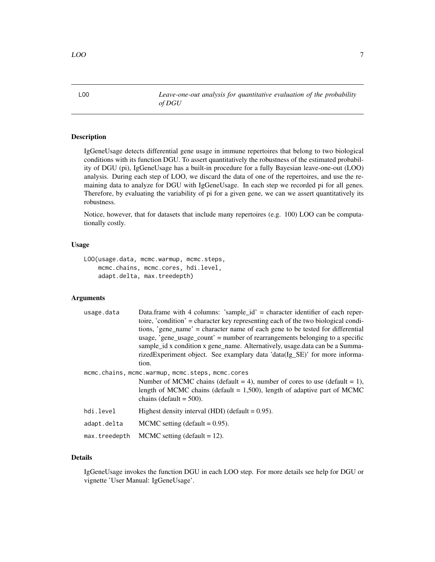<span id="page-6-0"></span>LOO *Leave-one-out analysis for quantitative evaluation of the probability of DGU*

#### **Description**

IgGeneUsage detects differential gene usage in immune repertoires that belong to two biological conditions with its function DGU. To assert quantitatively the robustness of the estimated probability of DGU (pi), IgGeneUsage has a built-in procedure for a fully Bayesian leave-one-out (LOO) analysis. During each step of LOO, we discard the data of one of the repertoires, and use the remaining data to analyze for DGU with IgGeneUsage. In each step we recorded pi for all genes. Therefore, by evaluating the variability of pi for a given gene, we can we assert quantitatively its robustness.

Notice, however, that for datasets that include many repertoires (e.g. 100) LOO can be computationally costly.

#### Usage

```
LOO(usage.data, mcmc.warmup, mcmc.steps,
    mcmc.chains, mcmc.cores, hdi.level,
    adapt.delta, max.treedepth)
```
#### Arguments

| usage.data    | Data.frame with 4 columns: 'sample_id' = character identifier of each reper-<br>toire, 'condition' = character key representing each of the two biological condi-<br>tions, 'gene_name' = character name of each gene to be tested for differential<br>usage, 'gene_usage_count' = number of rearrangements belonging to a specific |
|---------------|-------------------------------------------------------------------------------------------------------------------------------------------------------------------------------------------------------------------------------------------------------------------------------------------------------------------------------------|
|               | sample_id x condition x gene_name. Alternatively, usage.data can be a Summa-<br>rizedExperiment object. See examplary data 'data(Ig_SE)' for more informa-<br>tion.                                                                                                                                                                 |
|               | mcmc.chains, mcmc.warmup, mcmc.steps, mcmc.cores<br>Number of MCMC chains (default = 4), number of cores to use (default = 1),<br>length of MCMC chains (default $= 1,500$ ), length of adaptive part of MCMC<br>chains (default $= 500$ ).                                                                                         |
| hdi.level     | Highest density interval (HDI) (default $= 0.95$ ).                                                                                                                                                                                                                                                                                 |
| adapt.delta   | MCMC setting (default = $0.95$ ).                                                                                                                                                                                                                                                                                                   |
| max.treedepth | MCMC setting (default $= 12$ ).                                                                                                                                                                                                                                                                                                     |

#### Details

IgGeneUsage invokes the function DGU in each LOO step. For more details see help for DGU or vignette 'User Manual: IgGeneUsage'.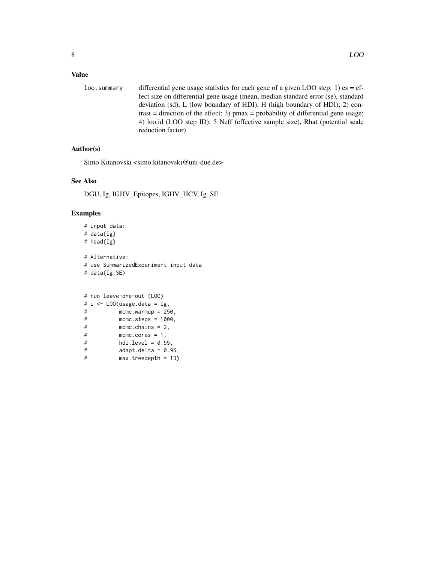#### Value

loo. summary differential gene usage statistics for each gene of a given LOO step. 1) es = effect size on differential gene usage (mean, median standard error (se), standard deviation (sd), L (low boundary of HDI), H (high boundary of HDI); 2) contrast = direction of the effect; 3)  $pmax = probability of differential gene usage;$ 4) loo.id (LOO step ID); 5 Neff (effective sample size), Rhat (potential scale reduction factor)

#### Author(s)

Simo Kitanovski <simo.kitanovski@uni-due.de>

#### See Also

DGU, Ig, IGHV\_Epitopes, IGHV\_HCV, Ig\_SE

#### Examples

```
# input data:
# data(Ig)
# head(Ig)
# Alternative:
# use SummarizedExperiment input data
# data(Ig_SE)
```

```
# run leave-one-out (LOO)
# L \leftarrow LOO(usage.data = Ig,# mcmc.warmup = 250,
# mcmc.steps = 1000,
# mcmc.chains = 2,
# mcmc.cores = 1,
# hdi.level = 0.95,
# adapt.delta = 0.95,
# max.treedepth = 13)
```